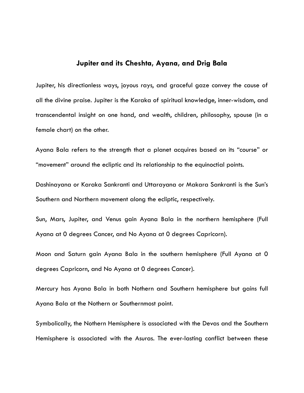## **Jupiter and its Cheshta, Ayana, and Drig Bala**

Jupiter, his directionless ways, joyous rays, and graceful gaze convey the cause of all the divine praise. Jupiter is the Karaka of spiritual knowledge, inner-wisdom, and transcendental insight on one hand, and wealth, children, philosophy, spouse (in a female chart) on the other.

Ayana Bala refers to the strength that a planet acquires based on its "course" or "movement" around the ecliptic and its relationship to the equinoctial points.

Dashinayana or Karaka Sankranti and Uttarayana or Makara Sankranti is the Sun's Southern and Northern movement along the ecliptic, respectively.

Sun, Mars, Jupiter, and Venus gain Ayana Bala in the northern hemisphere (Full Ayana at 0 degrees Cancer, and No Ayana at 0 degrees Capricorn).

Moon and Saturn gain Ayana Bala in the southern hemisphere (Full Ayana at 0 degrees Capricorn, and No Ayana at 0 degrees Cancer).

Mercury has Ayana Bala in both Nothern and Southern hemisphere but gains full Ayana Bala at the Nothern or Southernmost point.

Symbolically, the Nothern Hemisphere is associated with the Devas and the Southern Hemisphere is associated with the Asuras. The ever-lasting conflict between these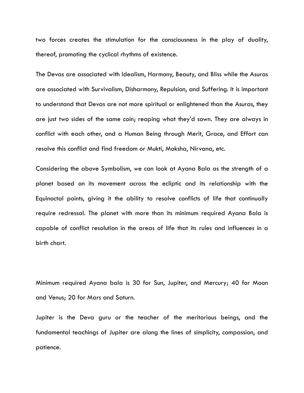two forces creates the stimulation for the consciousness in the play of duality, thereof, promoting the cyclical rhythms of existence.

The Devas are associated with Idealism, Harmony, Beauty, and Bliss while the Asuras are associated with Survivalism, Disharmony, Repulsion, and Suffering. It is important to understand that Devas are not more spiritual or enlightened than the Asuras, they are just two sides of the same coin; reaping what they'd sown. They are always in conflict with each other, and a Human Being through Merit, Grace, and Effort can resolve this conflict and find freedom or Mukti, Moksha, Nirvana, etc.

Considering the above Symbolism, we can look at Ayana Bala as the strength of a planet based on its movement across the ecliptic and its relationship with the Equinoctal points, giving it the ability to resolve conflicts of life that continually require redressal. The planet with more than its minimum required Ayana Bala is capable of conflict resolution in the areas of life that its rules and influences in a birth chart.

Minimum required Ayana bala is 30 for Sun, Jupiter, and Mercury; 40 for Moon and Venus; 20 for Mars and Saturn.

Jupiter is the Deva guru or the teacher of the meritorious beings, and the fundamental teachings of Jupiter are along the lines of simplicity, compassion, and patience.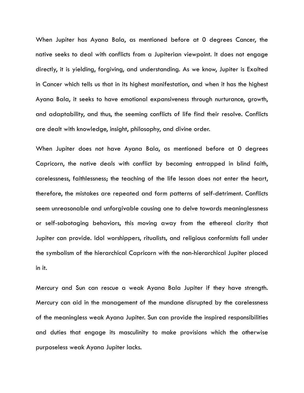When Jupiter has Ayana Bala, as mentioned before at 0 degrees Cancer, the native seeks to deal with conflicts from a Jupiterian viewpoint. It does not engage directly, it is yielding, forgiving, and understanding. As we know, Jupiter is Exalted in Cancer which tells us that in its highest manifestation, and when it has the highest Ayana Bala, it seeks to have emotional expansiveness through nurturance, growth, and adaptability, and thus, the seeming conflicts of life find their resolve. Conflicts are dealt with knowledge, insight, philosophy, and divine order.

When Jupiter does not have Ayana Bala, as mentioned before at 0 degrees Capricorn, the native deals with conflict by becoming entrapped in blind faith, carelessness, faithlessness; the teaching of the life lesson does not enter the heart, therefore, the mistakes are repeated and form patterns of self-detriment. Conflicts seem unreasonable and unforgivable causing one to delve towards meaninglessness or self-sabotaging behaviors, this moving away from the ethereal clarity that Jupiter can provide. Idol worshippers, ritualists, and religious conformists fall under the symbolism of the hierarchical Capricorn with the non-hierarchical Jupiter placed in it.

Mercury and Sun can rescue a weak Ayana Bala Jupiter if they have strength. Mercury can aid in the management of the mundane disrupted by the carelessness of the meaningless weak Ayana Jupiter. Sun can provide the inspired responsibilities and duties that engage its masculinity to make provisions which the otherwise purposeless weak Ayana Jupiter lacks.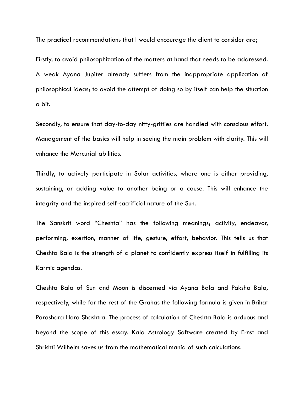The practical recommendations that I would encourage the client to consider are;

Firstly, to avoid philosophization of the matters at hand that needs to be addressed. A weak Ayana Jupiter already suffers from the inappropriate application of philosophical ideas; to avoid the attempt of doing so by itself can help the situation a bit.

Secondly, to ensure that day-to-day nitty-gritties are handled with conscious effort. Management of the basics will help in seeing the main problem with clarity. This will enhance the Mercurial abilities.

Thirdly, to actively participate in Solar activities, where one is either providing, sustaining, or adding value to another being or a cause. This will enhance the integrity and the inspired self-sacrificial nature of the Sun.

The Sanskrit word "Cheshta" has the following meanings; activity, endeavor, performing, exertion, manner of life, gesture, effort, behavior. This tells us that Cheshta Bala is the strength of a planet to confidently express itself in fulfilling its Karmic agendas.

Cheshta Bala of Sun and Moon is discerned via Ayana Bala and Paksha Bala, respectively, while for the rest of the Grahas the following formula is given in Brihat Parashara Hora Shashtra. The process of calculation of Cheshta Bala is arduous and beyond the scope of this essay. Kala Astrology Software created by Ernst and Shrishti Wilhelm saves us from the mathematical mania of such calculations.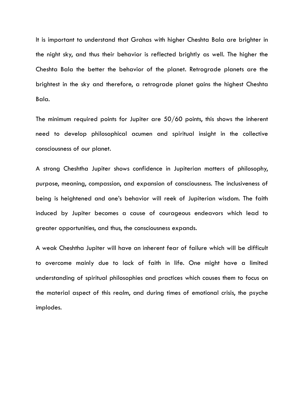It is important to understand that Grahas with higher Cheshta Bala are brighter in the night sky, and thus their behavior is reflected brightly as well. The higher the Cheshta Bala the better the behavior of the planet. Retrograde planets are the brightest in the sky and therefore, a retrograde planet gains the highest Cheshta Bala.

The minimum required points for Jupiter are 50/60 points, this shows the inherent need to develop philosophical acumen and spiritual insight in the collective consciousness of our planet.

A strong Cheshtha Jupiter shows confidence in Jupiterian matters of philosophy, purpose, meaning, compassion, and expansion of consciousness. The inclusiveness of being is heightened and one's behavior will reek of Jupiterian wisdom. The faith induced by Jupiter becomes a cause of courageous endeavors which lead to greater opportunities, and thus, the consciousness expands.

A weak Cheshtha Jupiter will have an inherent fear of failure which will be difficult to overcome mainly due to lack of faith in life. One might have a limited understanding of spiritual philosophies and practices which causes them to focus on the material aspect of this realm, and during times of emotional crisis, the psyche implodes.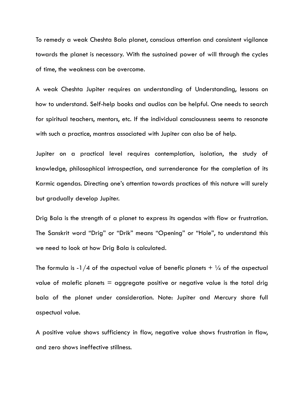To remedy a weak Cheshta Bala planet, conscious attention and consistent vigilance towards the planet is necessary. With the sustained power of will through the cycles of time, the weakness can be overcome.

A weak Cheshta Jupiter requires an understanding of Understanding, lessons on how to understand. Self-help books and audios can be helpful. One needs to search for spiritual teachers, mentors, etc. If the individual consciousness seems to resonate with such a practice, mantras associated with Jupiter can also be of help.

Jupiter on a practical level requires contemplation, isolation, the study of knowledge, philosophical introspection, and surrenderance for the completion of its Karmic agendas. Directing one's attention towards practices of this nature will surely but gradually develop Jupiter.

Drig Bala is the strength of a planet to express its agendas with flow or frustration. The Sanskrit word "Drig" or "Drik" means "Opening" or "Hole", to understand this we need to look at how Drig Bala is calculated.

The formula is -1/4 of the aspectual value of benefic planets  $+$  1/4 of the aspectual value of malefic planets  $=$  aggregate positive or negative value is the total drig bala of the planet under consideration. Note: Jupiter and Mercury share full aspectual value.

A positive value shows sufficiency in flow, negative value shows frustration in flow, and zero shows ineffective stillness.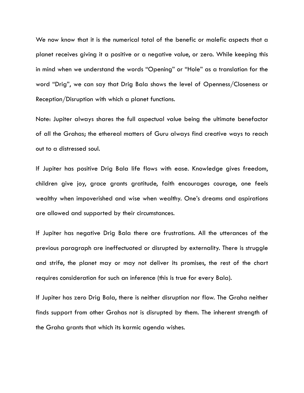We now know that it is the numerical total of the benefic or malefic aspects that a planet receives giving it a positive or a negative value, or zero. While keeping this in mind when we understand the words "Opening" or "Hole" as a translation for the word "Drig", we can say that Drig Bala shows the level of Openness/Closeness or Reception/Disruption with which a planet functions.

Note: Jupiter always shares the full aspectual value being the ultimate benefactor of all the Grahas; the ethereal matters of Guru always find creative ways to reach out to a distressed soul.

If Jupiter has positive Drig Bala life flows with ease. Knowledge gives freedom, children give joy, grace grants gratitude, faith encourages courage, one feels wealthy when impoverished and wise when wealthy. One's dreams and aspirations are allowed and supported by their circumstances.

If Jupiter has negative Drig Bala there are frustrations. All the utterances of the previous paragraph are ineffectuated or disrupted by externality. There is struggle and strife, the planet may or may not deliver its promises, the rest of the chart requires consideration for such an inference (this is true for every Bala).

If Jupiter has zero Drig Bala, there is neither disruption nor flow. The Graha neither finds support from other Grahas not is disrupted by them. The inherent strength of the Graha grants that which its karmic agenda wishes.